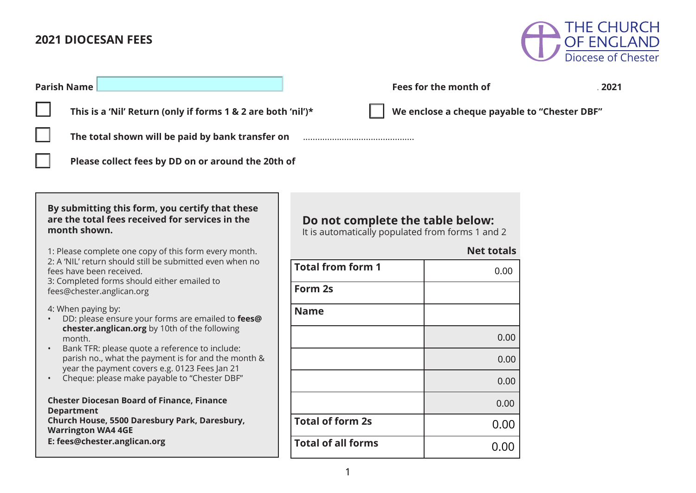# **2021 DIOCESAN FEES**



| <b>Parish Name</b>                                                                                                                                                  | Fees for the month of                                                                |      |  |  |  |  |  |
|---------------------------------------------------------------------------------------------------------------------------------------------------------------------|--------------------------------------------------------------------------------------|------|--|--|--|--|--|
| $\Box$<br>This is a 'Nil' Return (only if forms 1 & 2 are both 'nil')*                                                                                              | We enclose a cheque payable to "Chester DBF"                                         |      |  |  |  |  |  |
| The total shown will be paid by bank transfer on                                                                                                                    |                                                                                      |      |  |  |  |  |  |
| Please collect fees by DD on or around the 20th of                                                                                                                  |                                                                                      |      |  |  |  |  |  |
|                                                                                                                                                                     |                                                                                      |      |  |  |  |  |  |
| By submitting this form, you certify that these<br>are the total fees received for services in the<br>month shown.                                                  | Do not complete the table below:<br>It is automatically populated from forms 1 and 2 |      |  |  |  |  |  |
| 1: Please complete one copy of this form every month.                                                                                                               | <b>Net totals</b>                                                                    |      |  |  |  |  |  |
| 2: A 'NIL' return should still be submitted even when no<br>fees have been received.<br>3: Completed forms should either emailed to                                 | <b>Total from form 1</b>                                                             | 0.00 |  |  |  |  |  |
| fees@chester.anglican.org                                                                                                                                           | Form 2s                                                                              |      |  |  |  |  |  |
| 4: When paying by:<br>DD: please ensure your forms are emailed to fees@                                                                                             | <b>Name</b>                                                                          |      |  |  |  |  |  |
| chester.anglican.org by 10th of the following<br>month.                                                                                                             |                                                                                      | 0.00 |  |  |  |  |  |
| Bank TFR: please quote a reference to include:<br>$\bullet$<br>parish no., what the payment is for and the month &<br>year the payment covers e.g. 0123 Fees Jan 21 |                                                                                      | 0.00 |  |  |  |  |  |
| Cheque: please make payable to "Chester DBF"                                                                                                                        |                                                                                      | 0.00 |  |  |  |  |  |
| <b>Chester Diocesan Board of Finance, Finance</b><br><b>Department</b>                                                                                              |                                                                                      | 0.00 |  |  |  |  |  |
| Church House, 5500 Daresbury Park, Daresbury,<br><b>Warrington WA4 4GE</b>                                                                                          | <b>Total of form 2s</b>                                                              | 0.00 |  |  |  |  |  |
| E: fees@chester.anglican.org                                                                                                                                        | <b>Total of all forms</b>                                                            | 0.00 |  |  |  |  |  |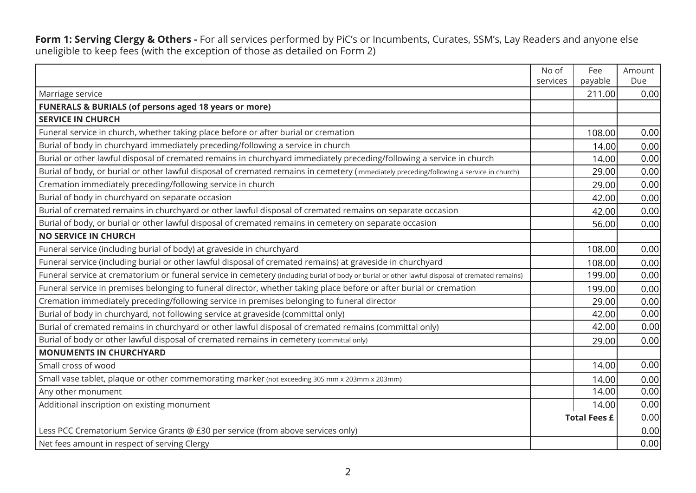**Form 1: Serving Clergy & Others -** For all services performed by PiC's or Incumbents, Curates, SSM's, Lay Readers and anyone else uneligible to keep fees (with the exception of those as detailed on Form 2)

|                                                                                                                                                 | No of<br>services | Fee<br>payable      | Amount<br>Due |
|-------------------------------------------------------------------------------------------------------------------------------------------------|-------------------|---------------------|---------------|
| Marriage service                                                                                                                                |                   | 211.00              | 0.00          |
| <b>FUNERALS &amp; BURIALS (of persons aged 18 years or more)</b>                                                                                |                   |                     |               |
| <b>SERVICE IN CHURCH</b>                                                                                                                        |                   |                     |               |
| Funeral service in church, whether taking place before or after burial or cremation                                                             |                   | 108.00              | 0.00          |
| Burial of body in churchyard immediately preceding/following a service in church                                                                |                   | 14.00               | 0.00          |
| Burial or other lawful disposal of cremated remains in churchyard immediately preceding/following a service in church                           |                   | 14.00               | 0.00          |
| Burial of body, or burial or other lawful disposal of cremated remains in cemetery (immediately preceding/following a service in church)        |                   | 29.00               | 0.00          |
| Cremation immediately preceding/following service in church                                                                                     |                   | 29.00               | 0.00          |
| Burial of body in churchyard on separate occasion                                                                                               |                   | 42.00               | 0.00          |
| Burial of cremated remains in churchyard or other lawful disposal of cremated remains on separate occasion                                      |                   | 42.00               | 0.00          |
| Burial of body, or burial or other lawful disposal of cremated remains in cemetery on separate occasion                                         |                   | 56.00               | 0.00          |
| <b>NO SERVICE IN CHURCH</b>                                                                                                                     |                   |                     |               |
| Funeral service (including burial of body) at graveside in churchyard                                                                           |                   | 108.00              | 0.00          |
| Funeral service (including burial or other lawful disposal of cremated remains) at graveside in churchyard                                      |                   | 108.00              | 0.00          |
| Funeral service at crematorium or funeral service in cemetery (including burial of body or burial or other lawful disposal of cremated remains) |                   | 199.00              | 0.00          |
| Funeral service in premises belonging to funeral director, whether taking place before or after burial or cremation                             |                   | 199.00              | 0.00          |
| Cremation immediately preceding/following service in premises belonging to funeral director                                                     |                   | 29.00               | 0.00          |
| Burial of body in churchyard, not following service at graveside (committal only)                                                               |                   | 42.00               | 0.00          |
| Burial of cremated remains in churchyard or other lawful disposal of cremated remains (committal only)                                          |                   | 42.00               | 0.00          |
| Burial of body or other lawful disposal of cremated remains in cemetery (committal only)                                                        |                   | 29.00               | 0.00          |
| <b>MONUMENTS IN CHURCHYARD</b>                                                                                                                  |                   |                     |               |
| Small cross of wood                                                                                                                             |                   | 14.00               | 0.00          |
| Small vase tablet, plaque or other commemorating marker (not exceeding 305 mm x 203mm x 203mm)                                                  |                   | 14.00               | 0.00          |
| Any other monument                                                                                                                              |                   | 14.00               | 0.00          |
| Additional inscription on existing monument                                                                                                     |                   | 14.00               | 0.00          |
|                                                                                                                                                 |                   | <b>Total Fees £</b> | 0.00          |
| Less PCC Crematorium Service Grants @ £30 per service (from above services only)                                                                |                   |                     | 0.00          |
| Net fees amount in respect of serving Clergy                                                                                                    |                   |                     | 0.00          |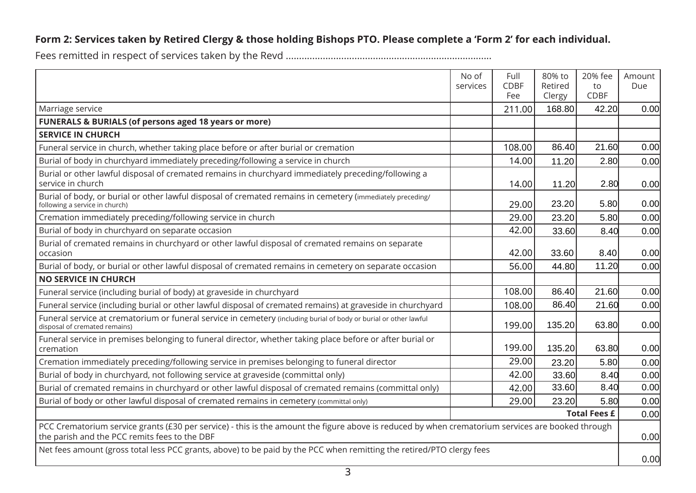|                                                                                                                                                                                                    | No of<br>services | Full<br><b>CDBF</b><br>Fee | 80% to<br>Retired<br>Clergy | 20% fee<br>to<br><b>CDBF</b> | Amount<br>Due |
|----------------------------------------------------------------------------------------------------------------------------------------------------------------------------------------------------|-------------------|----------------------------|-----------------------------|------------------------------|---------------|
| Marriage service                                                                                                                                                                                   |                   | 211.00                     | 168.80                      | 42.20                        | 0.00          |
| <b>FUNERALS &amp; BURIALS (of persons aged 18 years or more)</b>                                                                                                                                   |                   |                            |                             |                              |               |
| <b>SERVICE IN CHURCH</b>                                                                                                                                                                           |                   |                            |                             |                              |               |
| Funeral service in church, whether taking place before or after burial or cremation                                                                                                                |                   | 108.00                     | 86.40                       | 21.60                        | 0.00          |
| Burial of body in churchyard immediately preceding/following a service in church                                                                                                                   |                   | 14.00                      | 11.20                       | 2.80                         | 0.00          |
| Burial or other lawful disposal of cremated remains in churchyard immediately preceding/following a<br>service in church                                                                           |                   | 14.00                      | 11.20                       | 2.80                         | 0.00          |
| Burial of body, or burial or other lawful disposal of cremated remains in cemetery (immediately preceding/<br>following a service in church)                                                       |                   | 29.00                      | 23.20                       | 5.80                         | 0.00          |
| Cremation immediately preceding/following service in church                                                                                                                                        |                   | 29.00                      | 23.20                       | 5.80                         | 0.00          |
| Burial of body in churchyard on separate occasion                                                                                                                                                  |                   | 42.00                      | 33.60                       | 8.40                         | 0.00          |
| Burial of cremated remains in churchyard or other lawful disposal of cremated remains on separate<br>occasion                                                                                      |                   | 42.00                      | 33.60                       | 8.40                         | 0.00          |
| Burial of body, or burial or other lawful disposal of cremated remains in cemetery on separate occasion                                                                                            |                   | 56.00                      | 44.80                       | 11.20                        | 0.00          |
| <b>NO SERVICE IN CHURCH</b>                                                                                                                                                                        |                   |                            |                             |                              |               |
| Funeral service (including burial of body) at graveside in churchyard                                                                                                                              |                   | 108.00                     | 86.40                       | 21.60                        | 0.00          |
| Funeral service (including burial or other lawful disposal of cremated remains) at graveside in churchyard                                                                                         |                   | 108.00                     | 86.40                       | 21.60                        | 0.00          |
| Funeral service at crematorium or funeral service in cemetery (including burial of body or burial or other lawful<br>disposal of cremated remains)                                                 |                   | 199.00                     | 135.20                      | 63.80                        | 0.00          |
| Funeral service in premises belonging to funeral director, whether taking place before or after burial or<br>cremation                                                                             |                   | 199.00                     | 135.20                      | 63.80                        | 0.00          |
| Cremation immediately preceding/following service in premises belonging to funeral director                                                                                                        |                   | 29.00                      | 23.20                       | 5.80                         | 0.00          |
| Burial of body in churchyard, not following service at graveside (committal only)                                                                                                                  |                   | 42.00                      | 33.60                       | 8.40                         | 0.00          |
| Burial of cremated remains in churchyard or other lawful disposal of cremated remains (committal only)                                                                                             |                   | 42.00                      | 33.60                       | 8.40                         | 0.00          |
| Burial of body or other lawful disposal of cremated remains in cemetery (committal only)                                                                                                           |                   | 29.00                      | 23.20                       | 5.80                         | 0.00          |
| <b>Total Fees £</b>                                                                                                                                                                                |                   |                            |                             |                              | 0.00          |
| PCC Crematorium service grants (£30 per service) - this is the amount the figure above is reduced by when crematorium services are booked through<br>the parish and the PCC remits fees to the DBF |                   |                            |                             |                              | 0.00          |
| Net fees amount (gross total less PCC grants, above) to be paid by the PCC when remitting the retired/PTO clergy fees                                                                              |                   |                            |                             | 0.00                         |               |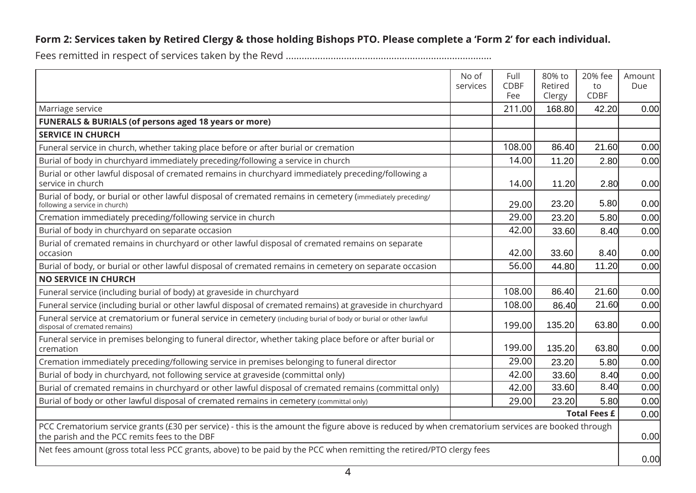|                                                                                                                                                                                                    | No of<br>services | Full<br><b>CDBF</b><br>Fee | 80% to<br>Retired<br>Clergy | 20% fee<br>to<br><b>CDBF</b> | Amount<br>Due |
|----------------------------------------------------------------------------------------------------------------------------------------------------------------------------------------------------|-------------------|----------------------------|-----------------------------|------------------------------|---------------|
| Marriage service                                                                                                                                                                                   |                   | 211.00                     | 168.80                      | 42.20                        | 0.00          |
| <b>FUNERALS &amp; BURIALS (of persons aged 18 years or more)</b>                                                                                                                                   |                   |                            |                             |                              |               |
| <b>SERVICE IN CHURCH</b>                                                                                                                                                                           |                   |                            |                             |                              |               |
| Funeral service in church, whether taking place before or after burial or cremation                                                                                                                |                   | 108.00                     | 86.40                       | 21.60                        | 0.00          |
| Burial of body in churchyard immediately preceding/following a service in church                                                                                                                   |                   | 14.00                      | 11.20                       | 2.80                         | 0.00          |
| Burial or other lawful disposal of cremated remains in churchyard immediately preceding/following a<br>service in church                                                                           |                   | 14.00                      | 11.20                       | 2.80                         | 0.00          |
| Burial of body, or burial or other lawful disposal of cremated remains in cemetery (immediately preceding/<br>following a service in church)                                                       |                   | 29.00                      | 23.20                       | 5.80                         | 0.00          |
| Cremation immediately preceding/following service in church                                                                                                                                        |                   | 29.00                      | 23.20                       | 5.80                         | 0.00          |
| Burial of body in churchyard on separate occasion                                                                                                                                                  |                   | 42.00                      | 33.60                       | 8.40                         | 0.00          |
| Burial of cremated remains in churchyard or other lawful disposal of cremated remains on separate<br>occasion                                                                                      |                   | 42.00                      | 33.60                       | 8.40                         | 0.00          |
| Burial of body, or burial or other lawful disposal of cremated remains in cemetery on separate occasion                                                                                            |                   | 56.00                      | 44.80                       | 11.20                        | 0.00          |
| <b>NO SERVICE IN CHURCH</b>                                                                                                                                                                        |                   |                            |                             |                              |               |
| Funeral service (including burial of body) at graveside in churchyard                                                                                                                              |                   | 108.00                     | 86.40                       | 21.60                        | 0.00          |
| Funeral service (including burial or other lawful disposal of cremated remains) at graveside in churchyard                                                                                         |                   | 108.00                     | 86.40                       | 21.60                        | 0.00          |
| Funeral service at crematorium or funeral service in cemetery (including burial of body or burial or other lawful<br>disposal of cremated remains)                                                 |                   | 199.00                     | 135.20                      | 63.80                        | 0.00          |
| Funeral service in premises belonging to funeral director, whether taking place before or after burial or<br>cremation                                                                             |                   | 199.00                     | 135.20                      | 63.80                        | 0.00          |
| Cremation immediately preceding/following service in premises belonging to funeral director                                                                                                        |                   | 29.00                      | 23.20                       | 5.80                         | 0.00          |
| Burial of body in churchyard, not following service at graveside (committal only)                                                                                                                  |                   | 42.00                      | 33.60                       | 8.40                         | 0.00          |
| Burial of cremated remains in churchyard or other lawful disposal of cremated remains (committal only)                                                                                             |                   | 42.00                      | 33.60                       | 8.40                         | 0.00          |
| Burial of body or other lawful disposal of cremated remains in cemetery (committal only)                                                                                                           |                   | 29.00                      | 23.20                       | 5.80                         | 0.00          |
| <b>Total Fees £</b>                                                                                                                                                                                |                   |                            |                             |                              | 0.00          |
| PCC Crematorium service grants (£30 per service) - this is the amount the figure above is reduced by when crematorium services are booked through<br>the parish and the PCC remits fees to the DBF |                   |                            |                             |                              | 0.00          |
| Net fees amount (gross total less PCC grants, above) to be paid by the PCC when remitting the retired/PTO clergy fees                                                                              |                   |                            |                             | 0.00                         |               |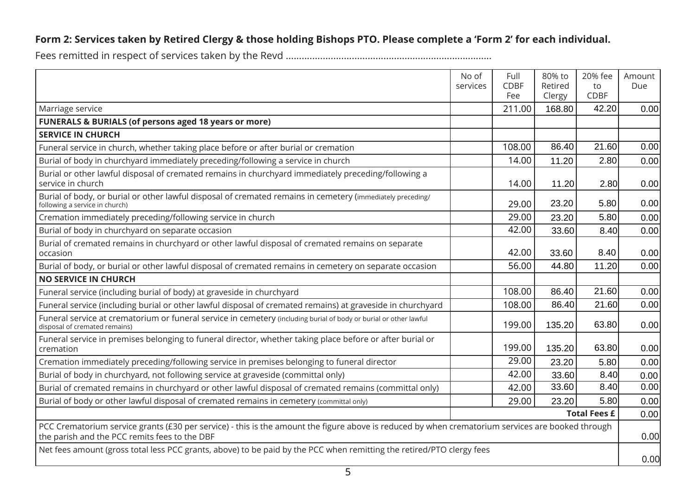|                                                                                                                                                                                                    | No of<br>services | Full<br><b>CDBF</b><br>Fee | 80% to<br>Retired<br>Clergy | 20% fee<br>to<br><b>CDBF</b> | Amount<br>Due |
|----------------------------------------------------------------------------------------------------------------------------------------------------------------------------------------------------|-------------------|----------------------------|-----------------------------|------------------------------|---------------|
| Marriage service                                                                                                                                                                                   |                   | 211.00                     | 168.80                      | 42.20                        | 0.00          |
| <b>FUNERALS &amp; BURIALS (of persons aged 18 years or more)</b>                                                                                                                                   |                   |                            |                             |                              |               |
| <b>SERVICE IN CHURCH</b>                                                                                                                                                                           |                   |                            |                             |                              |               |
| Funeral service in church, whether taking place before or after burial or cremation                                                                                                                |                   | 108.00                     | 86.40                       | 21.60                        | 0.00          |
| Burial of body in churchyard immediately preceding/following a service in church                                                                                                                   |                   | 14.00                      | 11.20                       | 2.80                         | 0.00          |
| Burial or other lawful disposal of cremated remains in churchyard immediately preceding/following a<br>service in church                                                                           |                   | 14.00                      | 11.20                       | 2.80                         | 0.00          |
| Burial of body, or burial or other lawful disposal of cremated remains in cemetery (immediately preceding/<br>following a service in church)                                                       |                   | 29.00                      | 23.20                       | 5.80                         | 0.00          |
| Cremation immediately preceding/following service in church                                                                                                                                        |                   | 29.00                      | 23.20                       | 5.80                         | 0.00          |
| Burial of body in churchyard on separate occasion                                                                                                                                                  |                   | 42.00                      | 33.60                       | 8.40                         | 0.00          |
| Burial of cremated remains in churchyard or other lawful disposal of cremated remains on separate<br>occasion                                                                                      |                   | 42.00                      | 33.60                       | 8.40                         | 0.00          |
| Burial of body, or burial or other lawful disposal of cremated remains in cemetery on separate occasion                                                                                            |                   | 56.00                      | 44.80                       | 11.20                        | 0.00          |
| <b>NO SERVICE IN CHURCH</b>                                                                                                                                                                        |                   |                            |                             |                              |               |
| Funeral service (including burial of body) at graveside in churchyard                                                                                                                              |                   | 108.00                     | 86.40                       | 21.60                        | 0.00          |
| Funeral service (including burial or other lawful disposal of cremated remains) at graveside in churchyard                                                                                         |                   | 108.00                     | 86.40                       | 21.60                        | 0.00          |
| Funeral service at crematorium or funeral service in cemetery (including burial of body or burial or other lawful<br>disposal of cremated remains)                                                 |                   | 199.00                     | 135.20                      | 63.80                        | 0.00          |
| Funeral service in premises belonging to funeral director, whether taking place before or after burial or<br>cremation                                                                             |                   | 199.00                     | 135.20                      | 63.80                        | 0.00          |
| Cremation immediately preceding/following service in premises belonging to funeral director                                                                                                        |                   | 29.00                      | 23.20                       | 5.80                         | 0.00          |
| Burial of body in churchyard, not following service at graveside (committal only)                                                                                                                  |                   | 42.00                      | 33.60                       | 8.40                         | 0.00          |
| Burial of cremated remains in churchyard or other lawful disposal of cremated remains (committal only)                                                                                             |                   | 42.00                      | 33.60                       | 8.40                         | 0.00          |
| Burial of body or other lawful disposal of cremated remains in cemetery (committal only)                                                                                                           |                   | 29.00                      | 23.20                       | 5.80                         | 0.00          |
| <b>Total Fees £</b>                                                                                                                                                                                |                   |                            |                             |                              | 0.00          |
| PCC Crematorium service grants (£30 per service) - this is the amount the figure above is reduced by when crematorium services are booked through<br>the parish and the PCC remits fees to the DBF |                   |                            |                             | 0.00                         |               |
| Net fees amount (gross total less PCC grants, above) to be paid by the PCC when remitting the retired/PTO clergy fees                                                                              |                   |                            |                             | 0.00                         |               |